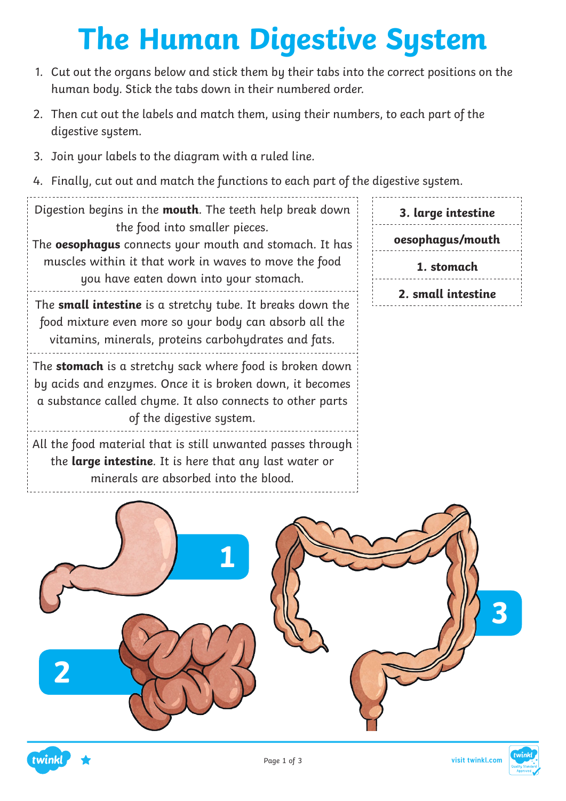# **The Human Digestive System**

- 1. Cut out the organs below and stick them by their tabs into the correct positions on the human body. Stick the tabs down in their numbered order.
- 2. Then cut out the labels and match them, using their numbers, to each part of the digestive system.
- 3. Join your labels to the diagram with a ruled line.
- 4. Finally, cut out and match the functions to each part of the digestive system.

Digestion begins in the **mouth**. The teeth help break down the food into smaller pieces.

The **oesophagus** connects your mouth and stomach. It has muscles within it that work in waves to move the food you have eaten down into your stomach.

The **small intestine** is a stretchy tube. It breaks down the food mixture even more so your body can absorb all the vitamins, minerals, proteins carbohydrates and fats.

The **stomach** is a stretchy sack where food is broken down by acids and enzymes. Once it is broken down, it becomes a substance called chyme. It also connects to other parts of the digestive system.

All the food material that is still unwanted passes through the **large intestine**. It is here that any last water or minerals are absorbed into the blood.





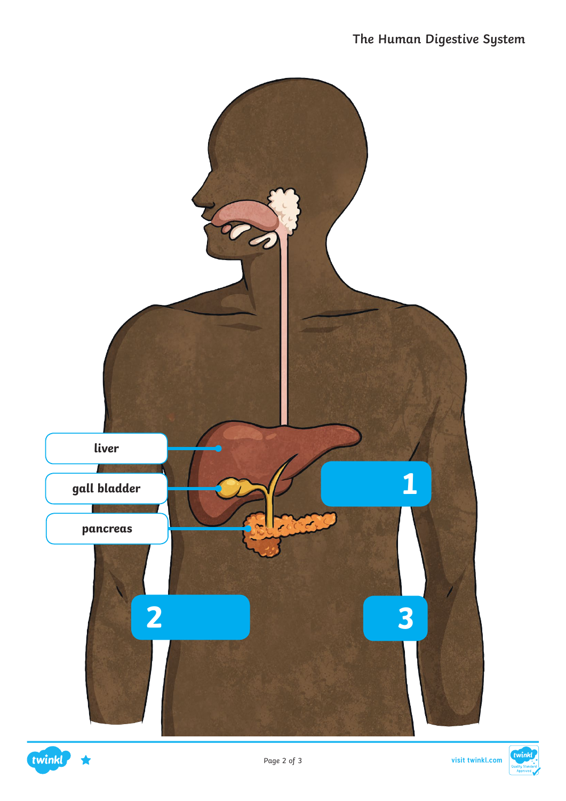

#### twinkl

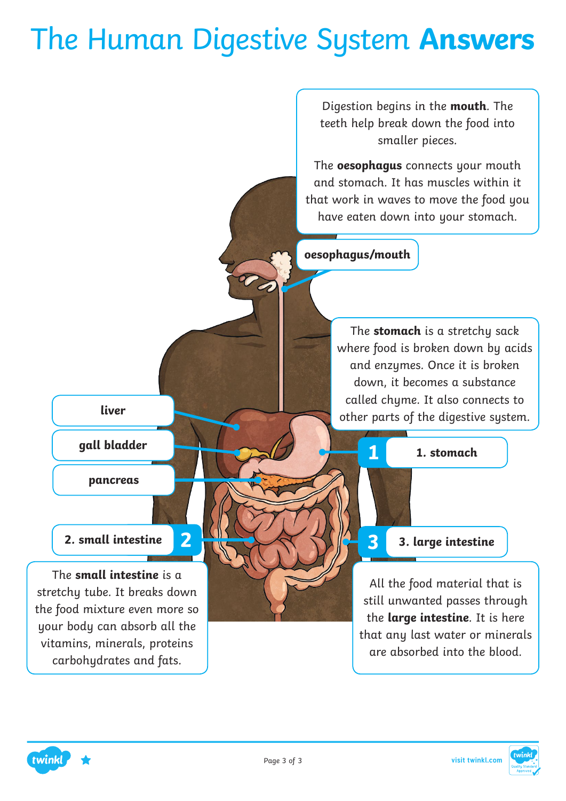#### The Human Digestive System **Answers**

Digestion begins in the **mouth**. The teeth help break down the food into smaller pieces.

The **oesophagus** connects your mouth and stomach. It has muscles within it that work in waves to move the food you have eaten down into your stomach.

**oesophagus/mouth**

**liver**

**gall bladder**

**pancreas**

The **small intestine** is a stretchy tube. It breaks down the food mixture even more so your body can absorb all the vitamins, minerals, proteins carbohydrates and fats.

The **stomach** is a stretchy sack where food is broken down by acids and enzymes. Once it is broken down, it becomes a substance called chyme. It also connects to other parts of the digestive system.

**1 1. stomach**

#### **2. small intestine 2 3 3. large intestine**

All the food material that is still unwanted passes through the **large intestine**. It is here that any last water or minerals are absorbed into the blood.



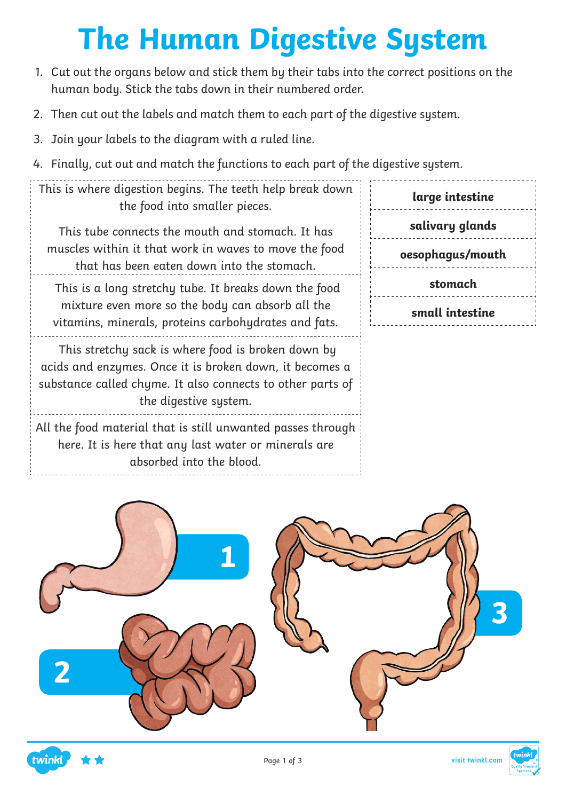# **The Human Digestive System**

- 1. Cut out the organs below and stick them by their tabs into the correct positions on the human body. Stick the tabs down in their numbered order.
- 2. Then cut out the labels and match them to each part of the digestive system.
- 3. Join your labels to the diagram with a ruled line.
- 4. Finally, cut out and match the functions to each part of the digestive system.

| This is where digestion begins. The teeth help break down |  |                               |  |  |
|-----------------------------------------------------------|--|-------------------------------|--|--|
|                                                           |  | the food into smaller pieces. |  |  |

This tube connects the mouth and stomach. It has muscles within it that work in waves to move the food that has been eaten down into the stomach.

 This is a long stretchy tube. It breaks down the food mixture even more so the body can absorb all the vitamins, minerals, proteins carbohydrates and fats.

 This stretchy sack is where food is broken down by acids and enzymes. Once it is broken down, it becomes a substance called chyme. It also connects to other parts of the digestive system.

All the food material that is still unwanted passes through here. It is here that any last water or minerals are absorbed into the blood.

| large intestine |                  |  |
|-----------------|------------------|--|
|                 | salivary glands  |  |
|                 | oesophagus/mouth |  |
|                 | stomach          |  |
|                 | small intestine  |  |



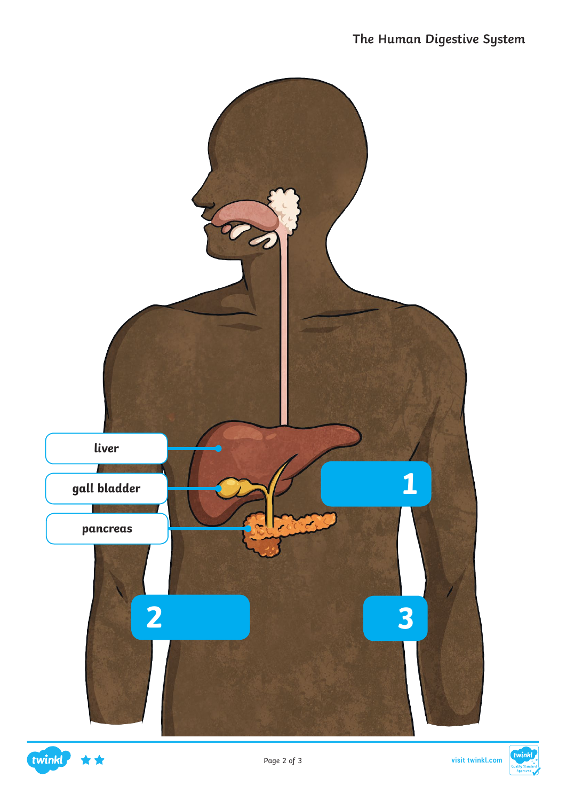



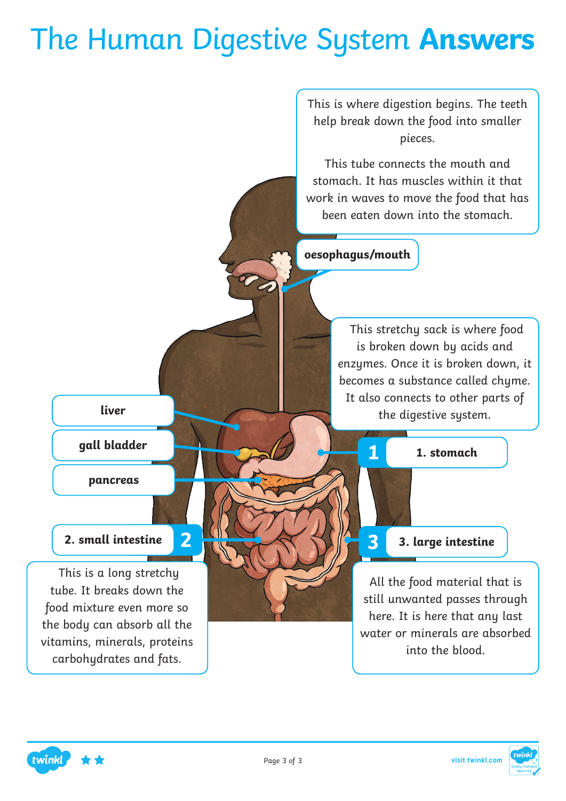#### The Human Digestive System **Answers**

This is where digestion begins. The teeth help break down the food into smaller pieces.

This tube connects the mouth and stomach. It has muscles within it that work in waves to move the food that has been eaten down into the stomach.

**oesophagus/mouth**

 This stretchy sack is where food is broken down by acids and enzymes. Once it is broken down, it becomes a substance called chume. It also connects to other parts of the digestive system.

**1 1. stomach**

#### **2. small intestine 2 3 3. large intestine**

All the food material that is still unwanted passes through here. It is here that any last water or minerals are absorbed into the blood.



**liver**

**gall bladder**

**pancreas**

 This is a long stretchy tube. It breaks down the food mixture even more so the body can absorb all the vitamins, minerals, proteins carbohydrates and fats.

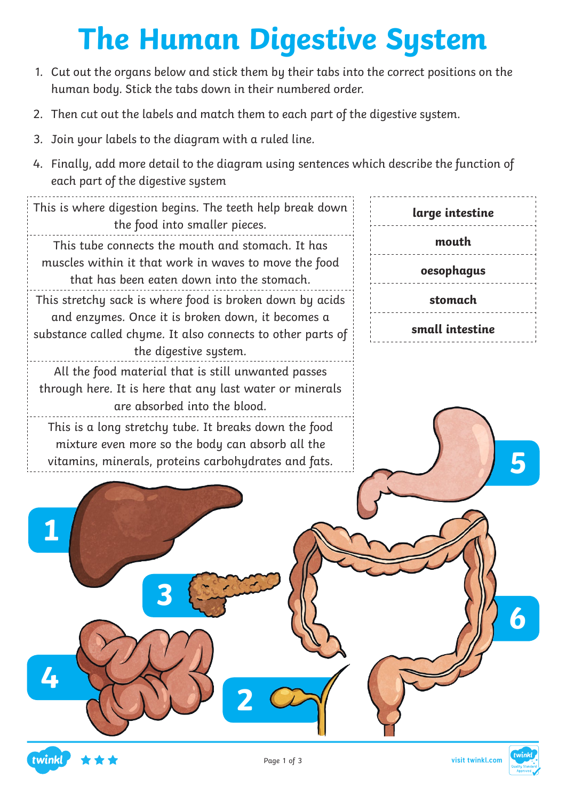# **The Human Digestive System**

- 1. Cut out the organs below and stick them by their tabs into the correct positions on the human body. Stick the tabs down in their numbered order.
- 2. Then cut out the labels and match them to each part of the digestive system.
- 3. Join your labels to the diagram with a ruled line.
- 4. Finally, add more detail to the diagram using sentences which describe the function of each part of the digestive system

This is where digestion begins. The teeth help break down the food into smaller pieces. This tube connects the mouth and stomach. It has muscles within it that work in waves to move the food that has been eaten down into the stomach. This stretchy sack is where food is broken down by acids and enzymes. Once it is broken down, it becomes a substance called chyme. It also connects to other parts of the digestive system. All the food material that is still unwanted passes through here. It is here that any last water or minerals are absorbed into the blood. This is a long stretchy tube. It breaks down the food mixture even more so the body can absorb all the vitamins, minerals, proteins carbohydrates and fats.

**3**





**4**

**1**

**5**

**6**

**2**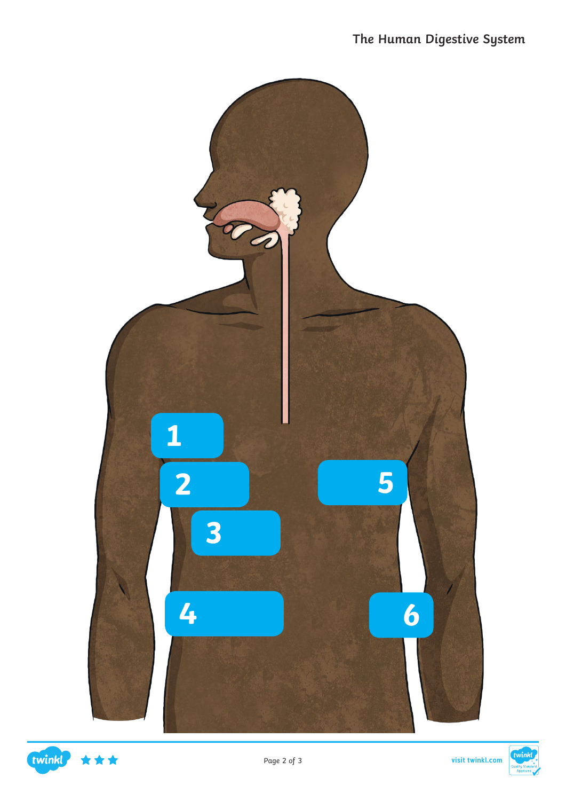